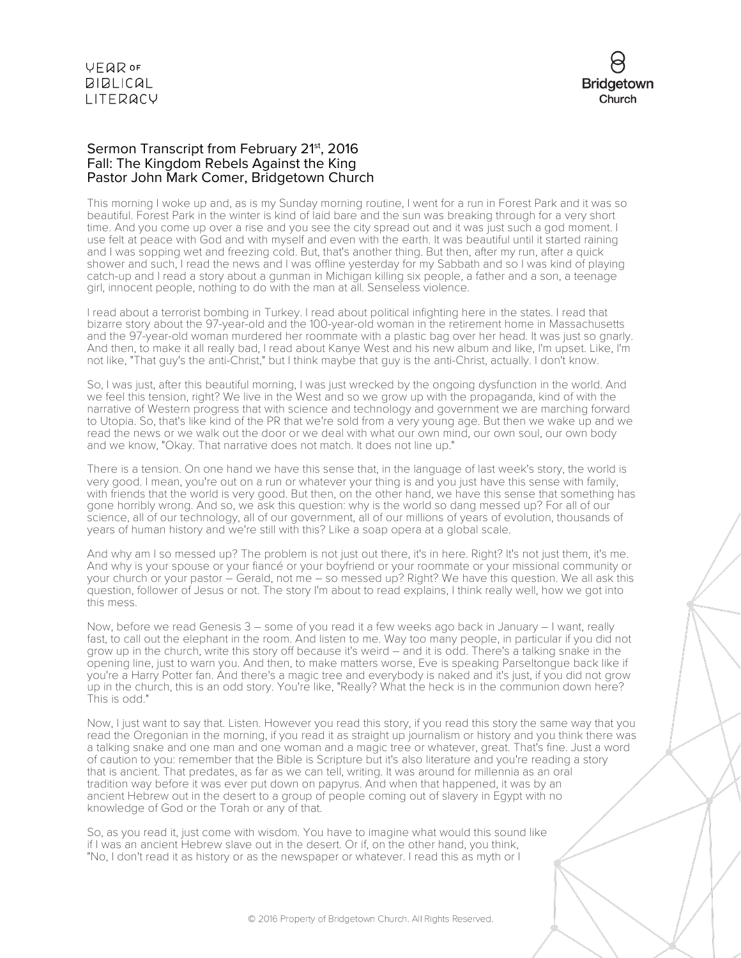VEQROF **BIBLICAL** LITERACY



#### Sermon Transcript from February 21<sup>st</sup>, 2016 Fall: The Kingdom Rebels Against the King Pastor John Mark Comer, Bridgetown Church

This morning I woke up and, as is my Sunday morning routine, I went for a run in Forest Park and it was so beautiful. Forest Park in the winter is kind of laid bare and the sun was breaking through for a very short time. And you come up over a rise and you see the city spread out and it was just such a god moment. I use felt at peace with God and with myself and even with the earth. It was beautiful until it started raining and I was sopping wet and freezing cold. But, that's another thing. But then, after my run, after a quick shower and such, I read the news and I was offline yesterday for my Sabbath and so I was kind of playing catch-up and I read a story about a gunman in Michigan killing six people, a father and a son, a teenage girl, innocent people, nothing to do with the man at all. Senseless violence.

I read about a terrorist bombing in Turkey. I read about political infighting here in the states. I read that bizarre story about the 97-year-old and the 100-year-old woman in the retirement home in Massachusetts and the 97-year-old woman murdered her roommate with a plastic bag over her head. It was just so gnarly. And then, to make it all really bad, I read about Kanye West and his new album and like, I'm upset. Like, I'm not like, "That guy's the anti-Christ," but I think maybe that guy is the anti-Christ, actually. I don't know.

So, I was just, after this beautiful morning, I was just wrecked by the ongoing dysfunction in the world. And we feel this tension, right? We live in the West and so we grow up with the propaganda, kind of with the narrative of Western progress that with science and technology and government we are marching forward to Utopia. So, that's like kind of the PR that we're sold from a very young age. But then we wake up and we read the news or we walk out the door or we deal with what our own mind, our own soul, our own body and we know, "Okay. That narrative does not match. It does not line up."

There is a tension. On one hand we have this sense that, in the language of last week's story, the world is very good. I mean, you're out on a run or whatever your thing is and you just have this sense with family, with friends that the world is very good. But then, on the other hand, we have this sense that something has gone horribly wrong. And so, we ask this question: why is the world so dang messed up? For all of our science, all of our technology, all of our government, all of our millions of years of evolution, thousands of years of human history and we're still with this? Like a soap opera at a global scale.

And why am I so messed up? The problem is not just out there, it's in here. Right? It's not just them, it's me. And why is your spouse or your fiancé or your boyfriend or your roommate or your missional community or your church or your pastor – Gerald, not me – so messed up? Right? We have this question. We all ask this question, follower of Jesus or not. The story I'm about to read explains, I think really well, how we got into this mess.

Now, before we read Genesis 3 – some of you read it a few weeks ago back in January – I want, really fast, to call out the elephant in the room. And listen to me. Way too many people, in particular if you did not grow up in the church, write this story off because it's weird – and it is odd. There's a talking snake in the opening line, just to warn you. And then, to make matters worse, Eve is speaking Parseltongue back like if you're a Harry Potter fan. And there's a magic tree and everybody is naked and it's just, if you did not grow up in the church, this is an odd story. You're like, "Really? What the heck is in the communion down here? This is odd."

Now, I just want to say that. Listen. However you read this story, if you read this story the same way that you read the Oregonian in the morning, if you read it as straight up journalism or history and you think there was a talking snake and one man and one woman and a magic tree or whatever, great. That's fine. Just a word of caution to you: remember that the Bible is Scripture but it's also literature and you're reading a story that is ancient. That predates, as far as we can tell, writing. It was around for millennia as an oral tradition way before it was ever put down on papyrus. And when that happened, it was by an ancient Hebrew out in the desert to a group of people coming out of slavery in Egypt with no knowledge of God or the Torah or any of that.

So, as you read it, just come with wisdom. You have to imagine what would this sound like if I was an ancient Hebrew slave out in the desert. Or if, on the other hand, you think, "No, I don't read it as history or as the newspaper or whatever. I read this as myth or I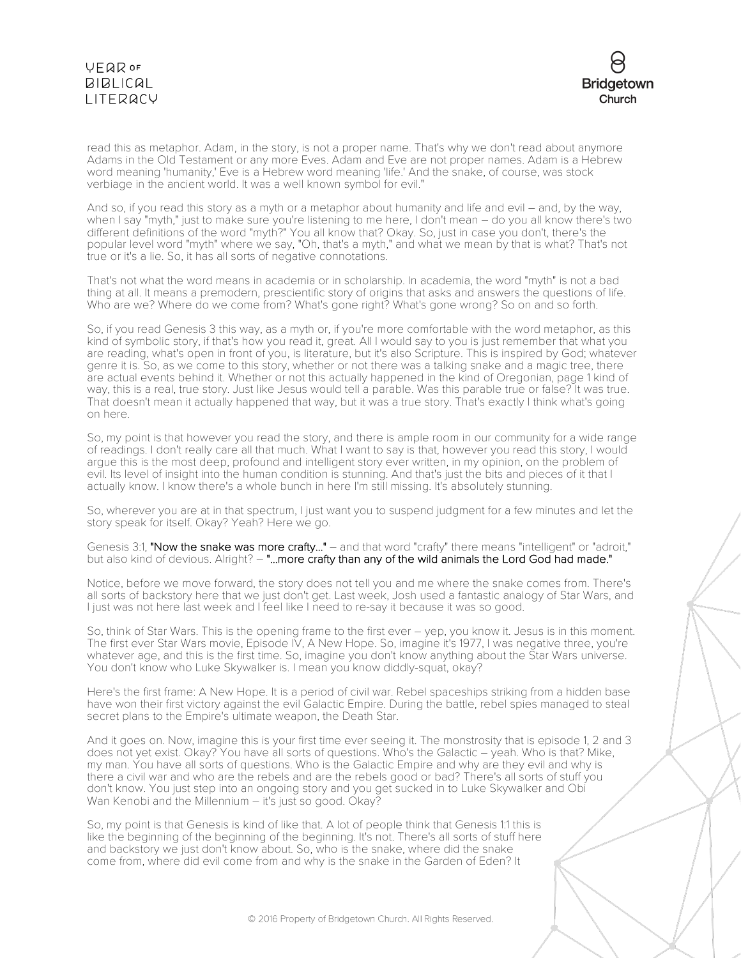# VEQROF **BIBLICAL** LITERACY



read this as metaphor. Adam, in the story, is not a proper name. That's why we don't read about anymore Adams in the Old Testament or any more Eves. Adam and Eve are not proper names. Adam is a Hebrew word meaning 'humanity,' Eve is a Hebrew word meaning 'life.' And the snake, of course, was stock verbiage in the ancient world. It was a well known symbol for evil."

And so, if you read this story as a myth or a metaphor about humanity and life and evil – and, by the way, when I say "myth," just to make sure you're listening to me here, I don't mean – do you all know there's two different definitions of the word "myth?" You all know that? Okay. So, just in case you don't, there's the popular level word "myth" where we say, "Oh, that's a myth," and what we mean by that is what? That's not true or it's a lie. So, it has all sorts of negative connotations.

That's not what the word means in academia or in scholarship. In academia, the word "myth" is not a bad thing at all. It means a premodern, prescientific story of origins that asks and answers the questions of life. Who are we? Where do we come from? What's gone right? What's gone wrong? So on and so forth.

So, if you read Genesis 3 this way, as a myth or, if you're more comfortable with the word metaphor, as this kind of symbolic story, if that's how you read it, great. All I would say to you is just remember that what you are reading, what's open in front of you, is literature, but it's also Scripture. This is inspired by God; whatever genre it is. So, as we come to this story, whether or not there was a talking snake and a magic tree, there are actual events behind it. Whether or not this actually happened in the kind of Oregonian, page 1 kind of way, this is a real, true story. Just like Jesus would tell a parable. Was this parable true or false? It was true. That doesn't mean it actually happened that way, but it was a true story. That's exactly I think what's going on here.

So, my point is that however you read the story, and there is ample room in our community for a wide range of readings. I don't really care all that much. What I want to say is that, however you read this story, I would argue this is the most deep, profound and intelligent story ever written, in my opinion, on the problem of evil. Its level of insight into the human condition is stunning. And that's just the bits and pieces of it that I actually know. I know there's a whole bunch in here I'm still missing. It's absolutely stunning.

So, wherever you are at in that spectrum, I just want you to suspend judgment for a few minutes and let the story speak for itself. Okay? Yeah? Here we go.

Genesis 3:1, "Now the snake was more crafty..." - and that word "crafty" there means "intelligent" or "adroit," but also kind of devious. Alright? – "...more crafty than any of the wild animals the Lord God had made."

Notice, before we move forward, the story does not tell you and me where the snake comes from. There's all sorts of backstory here that we just don't get. Last week, Josh used a fantastic analogy of Star Wars, and I just was not here last week and I feel like I need to re-say it because it was so good.

So, think of Star Wars. This is the opening frame to the first ever – yep, you know it. Jesus is in this moment. The first ever Star Wars movie, Episode IV, A New Hope. So, imagine it's 1977, I was negative three, you're whatever age, and this is the first time. So, imagine you don't know anything about the Star Wars universe. You don't know who Luke Skywalker is. I mean you know diddly-squat, okay?

Here's the first frame: A New Hope. It is a period of civil war. Rebel spaceships striking from a hidden base have won their first victory against the evil Galactic Empire. During the battle, rebel spies managed to steal secret plans to the Empire's ultimate weapon, the Death Star.

And it goes on. Now, imagine this is your first time ever seeing it. The monstrosity that is episode 1, 2 and 3 does not yet exist. Okay? You have all sorts of questions. Who's the Galactic – yeah. Who is that? Mike, my man. You have all sorts of questions. Who is the Galactic Empire and why are they evil and why is there a civil war and who are the rebels and are the rebels good or bad? There's all sorts of stuff you don't know. You just step into an ongoing story and you get sucked in to Luke Skywalker and Obi Wan Kenobi and the Millennium – it's just so good. Okay?

So, my point is that Genesis is kind of like that. A lot of people think that Genesis 1:1 this is like the beginning of the beginning of the beginning. It's not. There's all sorts of stuff here and backstory we just don't know about. So, who is the snake, where did the snake come from, where did evil come from and why is the snake in the Garden of Eden? It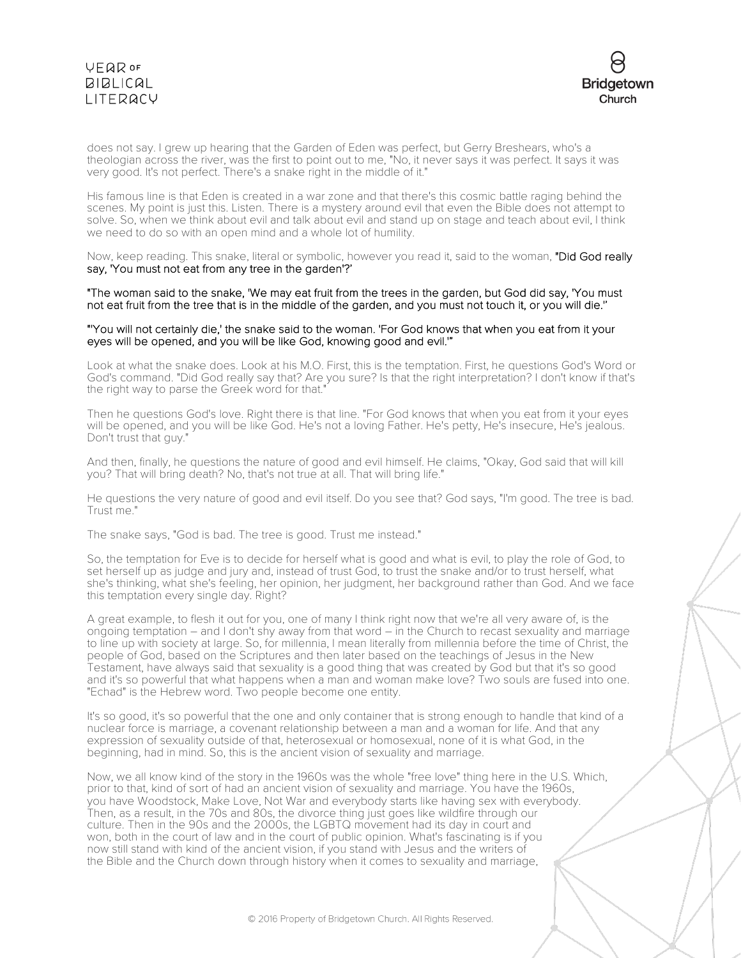# **VFQR OF**  $BIBLICAL$ LITERACY



does not say. I grew up hearing that the Garden of Eden was perfect, but Gerry Breshears, who's a theologian across the river, was the first to point out to me, "No, it never says it was perfect. It says it was very good. It's not perfect. There's a snake right in the middle of it."

His famous line is that Eden is created in a war zone and that there's this cosmic battle raging behind the scenes. My point is just this. Listen. There is a mystery around evil that even the Bible does not attempt to solve. So, when we think about evil and talk about evil and stand up on stage and teach about evil, I think we need to do so with an open mind and a whole lot of humility.

Now, keep reading. This snake, literal or symbolic, however you read it, said to the woman, "Did God really say, 'You must not eat from any tree in the garden'?'

"The woman said to the snake, 'We may eat fruit from the trees in the garden, but God did say, 'You must not eat fruit from the tree that is in the middle of the garden, and you must not touch it, or you will die.''

#### "'You will not certainly die,' the snake said to the woman. 'For God knows that when you eat from it your eyes will be opened, and you will be like God, knowing good and evil.'"

Look at what the snake does. Look at his M.O. First, this is the temptation. First, he questions God's Word or God's command. "Did God really say that? Are you sure? Is that the right interpretation? I don't know if that's the right way to parse the Greek word for that."

Then he questions God's love. Right there is that line. "For God knows that when you eat from it your eyes will be opened, and you will be like God. He's not a loving Father. He's petty, He's insecure, He's jealous. Don't trust that guy."

And then, finally, he questions the nature of good and evil himself. He claims, "Okay, God said that will kill you? That will bring death? No, that's not true at all. That will bring life."

He questions the very nature of good and evil itself. Do you see that? God says, "I'm good. The tree is bad. Trust me."

The snake says, "God is bad. The tree is good. Trust me instead."

So, the temptation for Eve is to decide for herself what is good and what is evil, to play the role of God, to set herself up as judge and jury and, instead of trust God, to trust the snake and/or to trust herself, what she's thinking, what she's feeling, her opinion, her judgment, her background rather than God. And we face this temptation every single day. Right?

A great example, to flesh it out for you, one of many I think right now that we're all very aware of, is the ongoing temptation – and I don't shy away from that word – in the Church to recast sexuality and marriage to line up with society at large. So, for millennia, I mean literally from millennia before the time of Christ, the people of God, based on the Scriptures and then later based on the teachings of Jesus in the New Testament, have always said that sexuality is a good thing that was created by God but that it's so good and it's so powerful that what happens when a man and woman make love? Two souls are fused into one. "Echad" is the Hebrew word. Two people become one entity.

It's so good, it's so powerful that the one and only container that is strong enough to handle that kind of a nuclear force is marriage, a covenant relationship between a man and a woman for life. And that any expression of sexuality outside of that, heterosexual or homosexual, none of it is what God, in the beginning, had in mind. So, this is the ancient vision of sexuality and marriage.

Now, we all know kind of the story in the 1960s was the whole "free love" thing here in the U.S. Which, prior to that, kind of sort of had an ancient vision of sexuality and marriage. You have the 1960s, you have Woodstock, Make Love, Not War and everybody starts like having sex with everybody. Then, as a result, in the 70s and 80s, the divorce thing just goes like wildfire through our culture. Then in the 90s and the 2000s, the LGBTQ movement had its day in court and won, both in the court of law and in the court of public opinion. What's fascinating is if you now still stand with kind of the ancient vision, if you stand with Jesus and the writers of the Bible and the Church down through history when it comes to sexuality and marriage,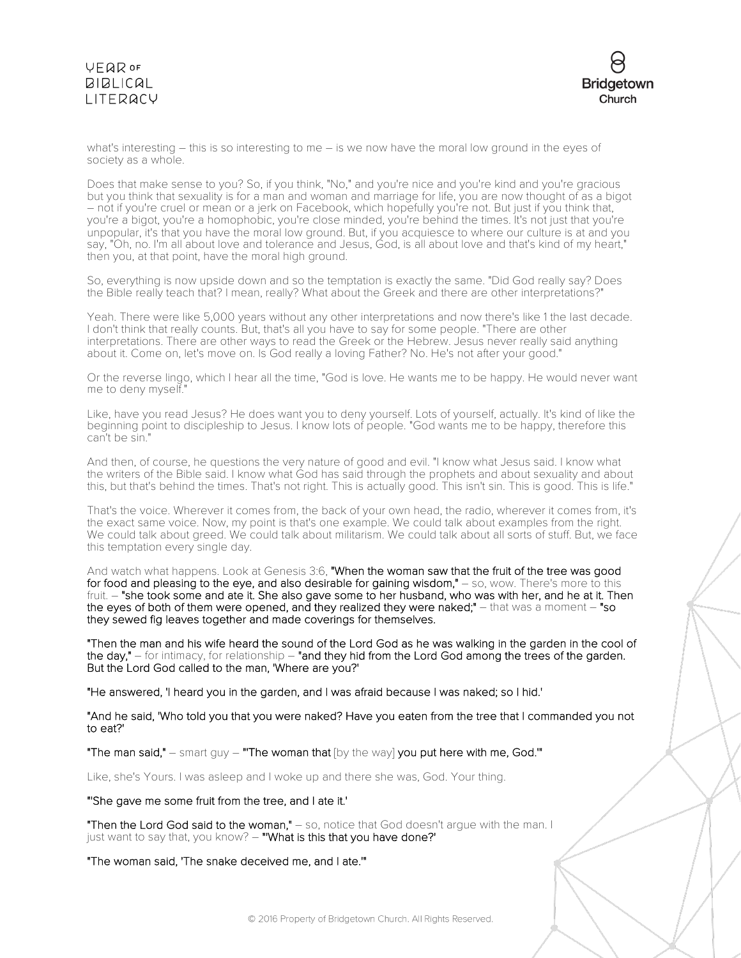

what's interesting – this is so interesting to me – is we now have the moral low ground in the eyes of society as a whole.

Does that make sense to you? So, if you think, "No," and you're nice and you're kind and you're gracious<br>but you think that sexuality is for a man and woman and marriage for life, you are now thought of as a bigot  $-$  not if you're cruel or mean or a jerk on Facebook, which hopefully you're not. But just if you think that, you're a bigot, you're a homophobic, you're close minded, you're behind the times. It's not just that you're unpopular, it's that you have the moral low ground. But, if you acquiesce to where our culture is at and you say, "Oh, no. I'm all about love and tolerance and Jesus, God, is all about love and that's kind of my heart," then you, at that point, have the moral high ground.

So, everything is now upside down and so the temptation is exactly the same. "Did God really say? Does the Bible really teach that? I mean, really? What about the Greek and there are other interpretations?"

Yeah. There were like 5,000 years without any other interpretations and now there's like 1 the last decade. I don't think that really counts. But, that's all you have to say for some people. "There are other interpretations. There are other ways to read the Greek or the Hebrew. Jesus never really said anything about it. Come on, let's move on. Is God really a loving Father? No. He's not after your good."

Or the reverse lingo, which I hear all the time, "God is love. He wants me to be happy. He would never want me to deny myself."

Like, have you read Jesus? He does want you to deny yourself. Lots of yourself, actually. It's kind of like the beginning point to discipleship to Jesus. I know lots of people. "God wants me to be happy, therefore this can't be sin."

And then, of course, he questions the very nature of good and evil. "I know what Jesus said. I know what the writers of the Bible said. I know what God has said through the prophets and about sexuality and about this, but that's behind the times. That's not right. This is actually good. This isn't sin. This is good. This is life."

That's the voice. Wherever it comes from, the back of your own head, the radio, wherever it comes from, it's the exact same voice. Now, my point is that's one example. We could talk about examples from the right. We could talk about greed. We could talk about militarism. We could talk about all sorts of stuff. But, we face this temptation every single day.

And watch what happens. Look at Genesis 3:6, "When the woman saw that the fruit of the tree was good for food and pleasing to the eye, and also desirable for gaining wisdom," - so, wow. There's more to this fruit. – "she took some and ate it. She also gave some to her husband, who was with her, and he at it. Then the eyes of both of them were opened, and they realized they were naked;" - that was a moment - "so they sewed fig leaves together and made coverings for themselves.

"Then the man and his wife heard the sound of the Lord God as he was walking in the garden in the cool of the day," – for intimacy, for relationship – "and they hid from the Lord God among the trees of the garden. But the Lord God called to the man, 'Where are you?'

"He answered, 'I heard you in the garden, and I was afraid because I was naked; so I hid.'

"And he said, 'Who told you that you were naked? Have you eaten from the tree that I commanded you not to eat?'

"The man said," – smart guy – "'The woman that [by the way] you put here with me, God.'"

Like, she's Yours. I was asleep and I woke up and there she was, God. Your thing.

"'She gave me some fruit from the tree, and I ate it.'

"Then the Lord God said to the woman," - so, notice that God doesn't argue with the man. I just want to say that, you know? - "What is this that you have done?'

"The woman said, 'The snake deceived me, and I ate.'"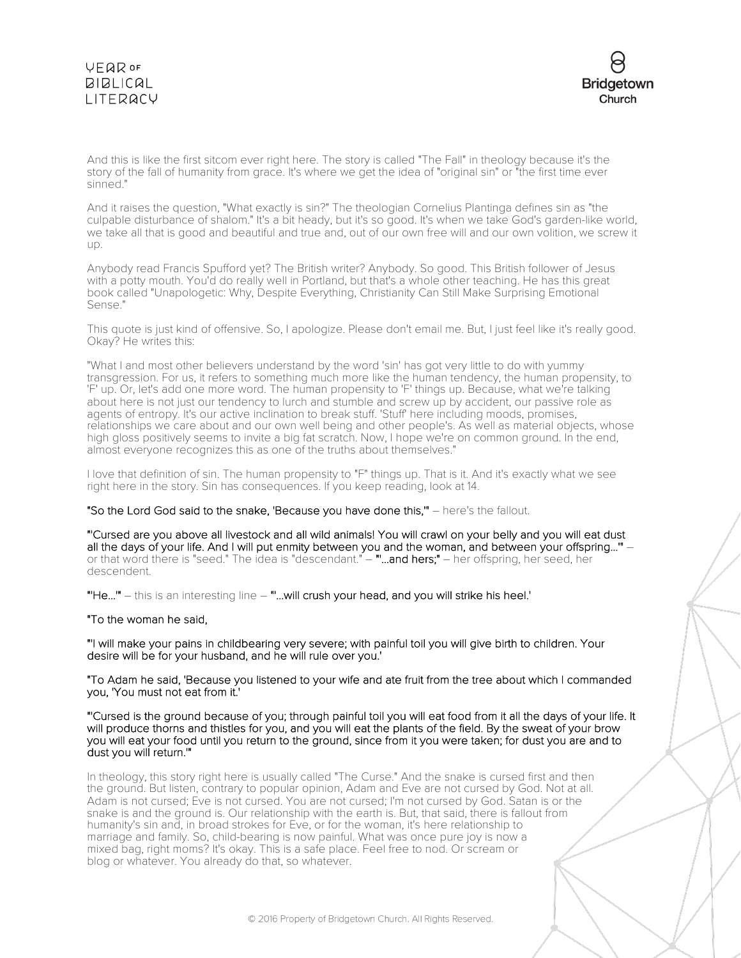

And this is like the first sitcom ever right here. The story is called "The Fall" in theology because it's the story of the fall of humanity from grace. It's where we get the idea of "original sin" or "the first time ever sinned."

And it raises the question, "What exactly is sin?" The theologian Cornelius Plantinga defines sin as "the culpable disturbance of shalom." It's a bit heady, but it's so good. It's when we take God's garden-like world, we take all that is good and beautiful and true and, out of our own free will and our own volition, we screw it up.

Anybody read Francis Spufford yet? The British writer? Anybody. So good. This British follower of Jesus with a potty mouth. You'd do really well in Portland, but that's a whole other teaching. He has this great book called "Unapologetic: Why, Despite Everything, Christianity Can Still Make Surprising Emotional Sense."

This quote is just kind of offensive. So, I apologize. Please don't email me. But, I just feel like it's really good. Okay? He writes this:

"What I and most other believers understand by the word 'sin' has got very little to do with yummy transgression. For us, it refers to something much more like the human tendency, the human propensity, to 'F' up. Or, let's add one more word. The human propensity to 'F' things up. Because, what we're talking about here is not just our tendency to lurch and stumble and screw up by accident, our passive role as agents of entropy. It's our active inclination to break stuff. 'Stuff' here including moods, promises, relationships we care about and our own well being and other people's. As well as material objects, whose high gloss positively seems to invite a big fat scratch. Now, I hope we're on common ground. In the end, almost everyone recognizes this as one of the truths about themselves."

I love that definition of sin. The human propensity to "F" things up. That is it. And it's exactly what we see right here in the story. Sin has consequences. If you keep reading, look at 14.

"So the Lord God said to the snake, 'Because you have done this,'" – here's the fallout.

"'Cursed are you above all livestock and all wild animals! You will crawl on your belly and you will eat dust all the days of your life. And I will put enmity between you and the woman, and between your offspring...'" – or that word there is "seed." The idea is "descendant." – **"...and hers;"** – her offspring, her seed, her descendent.

"'He...'" – this is an interesting line – "'...will crush your head, and you will strike his heel.'

"To the woman he said,

"'I will make your pains in childbearing very severe; with painful toil you will give birth to children. Your desire will be for your husband, and he will rule over you.'

"To Adam he said, 'Because you listened to your wife and ate fruit from the tree about which I commanded you, 'You must not eat from it.'

"'Cursed is the ground because of you; through painful toil you will eat food from it all the days of your life. It will produce thorns and thistles for you, and you will eat the plants of the field. By the sweat of your brow you will eat your food until you return to the ground, since from it you were taken; for dust you are and to dust you will return.'"

In theology, this story right here is usually called "The Curse." And the snake is cursed first and then the ground. But listen, contrary to popular opinion, Adam and Eve are not cursed by God. Not at all. Adam is not cursed; Eve is not cursed. You are not cursed; I'm not cursed by God. Satan is or the snake is and the ground is. Our relationship with the earth is. But, that said, there is fallout from humanity's sin and, in broad strokes for Eve, or for the woman, it's here relationship to marriage and family. So, child-bearing is now painful. What was once pure joy is now a mixed bag, right moms? It's okay. This is a safe place. Feel free to nod. Or scream or blog or whatever. You already do that, so whatever.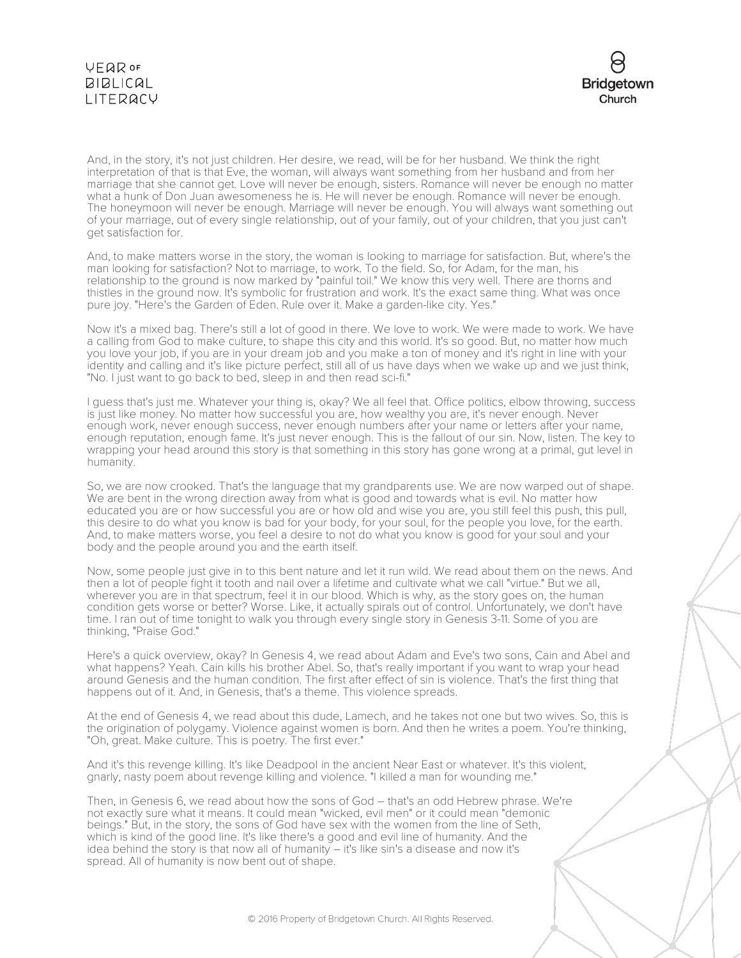



And, in the story, it's not just children. Her desire, we read, will be for her husband. We think the right interpretation of that is that Eve, the woman, will always want something from her husband and from her marriage that she cannot get. Love will never be enough, sisters. Romance will never be enough no matter what a hunk of Don Juan awesomeness he is. He will never be enough. Romance will never be enough. The honeymoon will never be enough. Marriage will never be enough. You will always want something out of your marriage, out of every single relationship, out of your family, out of your children, that you just can't get satisfaction for.

And, to make matters worse in the story, the woman is looking to marriage for satisfaction. But, where's the man looking for satisfaction? Not to marriage, to work. To the field. So, for Adam, for the man, his relationship to the ground is now marked by "painful toil." We know this very well. There are thorns and thistles in the ground now. It's symbolic for frustration and work. It's the exact same thing. What was once pure joy. "Here's the Garden of Eden. Rule over it. Make a garden-like city. Yes."

Now it's a mixed bag. There's still a lot of good in there. We love to work. We were made to work. We have a calling from God to make culture, to shape this city and this world. It's so good. But, no matter how much you love your job, if you are in your dream job and you make a ton of money and it's right in line with your identity and calling and it's like picture perfect, still all of us have days when we wake up and we just think, "No. I just want to go back to bed, sleep in and then read sci-fi."

I guess that's just me. Whatever your thing is, okay? We all feel that. Office politics, elbow throwing, success is just like money. No matter how successful you are, how wealthy you are, it's never enough. Never enough work, never enough success, never enough numbers after your name or letters after your name, enough reputation, enough fame. It's just never enough. This is the fallout of our sin. Now, listen. The key to wrapping your head around this story is that something in this story has gone wrong at a primal, gut level in humanity.

So, we are now crooked. That's the language that my grandparents use. We are now warped out of shape. We are bent in the wrong direction away from what is good and towards what is evil. No matter how educated you are or how successful you are or how old and wise you are, you still feel this push, this pull, this desire to do what you know is bad for your body, for your soul, for the people you love, for the earth. And, to make matters worse, you feel a desire to not do what you know is good for your soul and your body and the people around you and the earth itself.

Now, some people just give in to this bent nature and let it run wild. We read about them on the news. And then a lot of people fight it tooth and nail over a lifetime and cultivate what we call "virtue." But we all, wherever you are in that spectrum, feel it in our blood. Which is why, as the story goes on, the human condition gets worse or better? Worse. Like, it actually spirals out of control. Unfortunately, we don't have time. I ran out of time tonight to walk you through every single story in Genesis 3-11. Some of you are thinking, "Praise God."

Here's a quick overview, okay? In Genesis 4, we read about Adam and Eve's two sons, Cain and Abel and what happens? Yeah. Cain kills his brother Abel. So, that's really important if you want to wrap your head around Genesis and the human condition. The first after effect of sin is violence. That's the first thing that happens out of it. And, in Genesis, that's a theme. This violence spreads.

At the end of Genesis 4, we read about this dude, Lamech, and he takes not one but two wives. So, this is the origination of polygamy. Violence against women is born. And then he writes a poem. You're thinking, "Oh, great. Make culture. This is poetry. The first ever."

And it's this revenge killing. It's like Deadpool in the ancient Near East or whatever. It's this violent, gnarly, nasty poem about revenge killing and violence. "I killed a man for wounding me."

Then, in Genesis 6, we read about how the sons of God – that's an odd Hebrew phrase. We're not exactly sure what it means. It could mean "wicked, evil men" or it could mean "demonic beings." But, in the story, the sons of God have sex with the women from the line of Seth, which is kind of the good line. It's like there's a good and evil line of humanity. And the idea behind the story is that now all of humanity – it's like sin's a disease and now it's spread. All of humanity is now bent out of shape.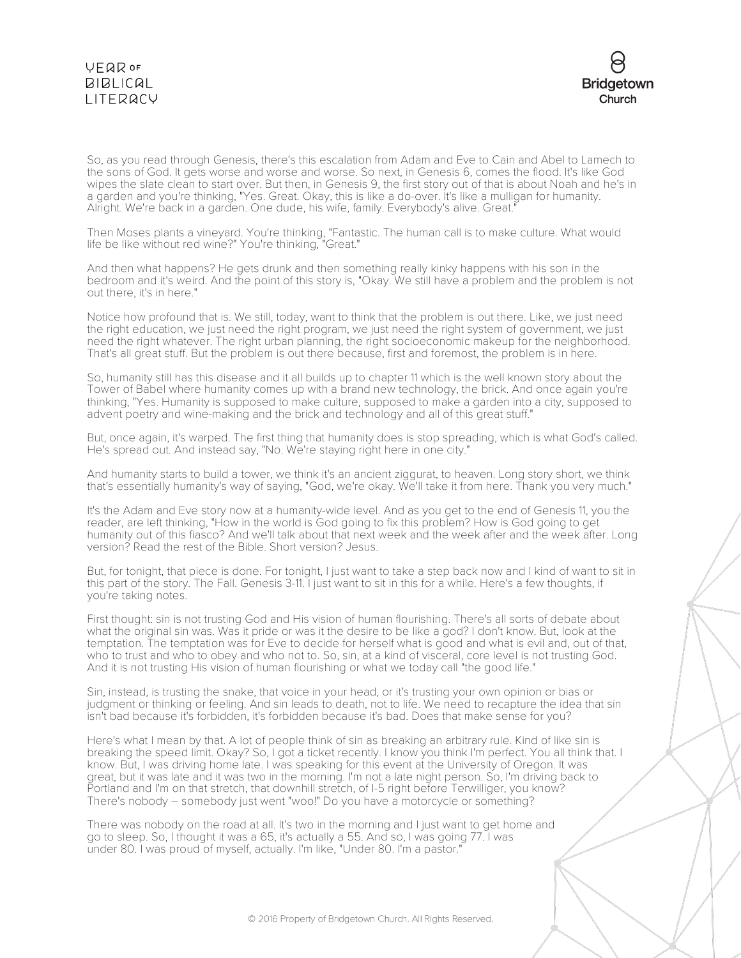### **YEQR OF**  $BIBLICAL$ LITERACY



So, as you read through Genesis, there's this escalation from Adam and Eve to Cain and Abel to Lamech to the sons of God. It gets worse and worse and worse. So next, in Genesis 6, comes the flood. It's like God wipes the slate clean to start over. But then, in Genesis 9, the first story out of that is about Noah and he's in a garden and you're thinking, "Yes. Great. Okay, this is like a do-over. It's like a mulligan for humanity. Alright. We're back in a garden. One dude, his wife, family. Everybody's alive. Great."

Then Moses plants a vineyard. You're thinking, "Fantastic. The human call is to make culture. What would life be like without red wine?" You're thinking, "Great."

And then what happens? He gets drunk and then something really kinky happens with his son in the bedroom and it's weird. And the point of this story is, "Okay. We still have a problem and the problem is not out there, it's in here."

Notice how profound that is. We still, today, want to think that the problem is out there. Like, we just need the right education, we just need the right program, we just need the right system of government, we just need the right whatever. The right urban planning, the right socioeconomic makeup for the neighborhood. That's all great stuff. But the problem is out there because, first and foremost, the problem is in here.

So, humanity still has this disease and it all builds up to chapter 11 which is the well known story about the Tower of Babel where humanity comes up with a brand new technology, the brick. And once again you're thinking, "Yes. Humanity is supposed to make culture, supposed to make a garden into a city, supposed to advent poetry and wine-making and the brick and technology and all of this great stuff."

But, once again, it's warped. The first thing that humanity does is stop spreading, which is what God's called. He's spread out. And instead say, "No. We're staying right here in one city."

And humanity starts to build a tower, we think it's an ancient ziggurat, to heaven. Long story short, we think that's essentially humanity's way of saying, "God, we're okay. We'll take it from here. Thank you very much."

It's the Adam and Eve story now at a humanity-wide level. And as you get to the end of Genesis 11, you the reader, are left thinking, "How in the world is God going to fix this problem? How is God going to get humanity out of this fiasco? And we'll talk about that next week and the week after and the week after. Long version? Read the rest of the Bible. Short version? Jesus.

But, for tonight, that piece is done. For tonight, I just want to take a step back now and I kind of want to sit in this part of the story. The Fall. Genesis 3-11. I just want to sit in this for a while. Here's a few thoughts, if you're taking notes.

First thought: sin is not trusting God and His vision of human flourishing. There's all sorts of debate about what the original sin was. Was it pride or was it the desire to be like a god? I don't know. But, look at the temptation. The temptation was for Eve to decide for herself what is good and what is evil and, out of that, who to trust and who to obey and who not to. So, sin, at a kind of visceral, core level is not trusting God. And it is not trusting His vision of human flourishing or what we today call "the good life."

Sin, instead, is trusting the snake, that voice in your head, or it's trusting your own opinion or bias or judgment or thinking or feeling. And sin leads to death, not to life. We need to recapture the idea that sin isn't bad because it's forbidden, it's forbidden because it's bad. Does that make sense for you?

Here's what I mean by that. A lot of people think of sin as breaking an arbitrary rule. Kind of like sin is breaking the speed limit. Okay? So, I got a ticket recently. I know you think I'm perfect. You all think that. I know. But, I was driving home late. I was speaking for this event at the University of Oregon. It was great, but it was late and it was two in the morning. I'm not a late night person. So, I'm driving back to Portland and I'm on that stretch, that downhill stretch, of I-5 right before Terwilliger, you know? There's nobody – somebody just went "woo!" Do you have a motorcycle or something?

There was nobody on the road at all. It's two in the morning and I just want to get home and go to sleep. So, I thought it was a 65, it's actually a 55. And so, I was going 77. I was under 80. I was proud of myself, actually. I'm like, "Under 80. I'm a pastor."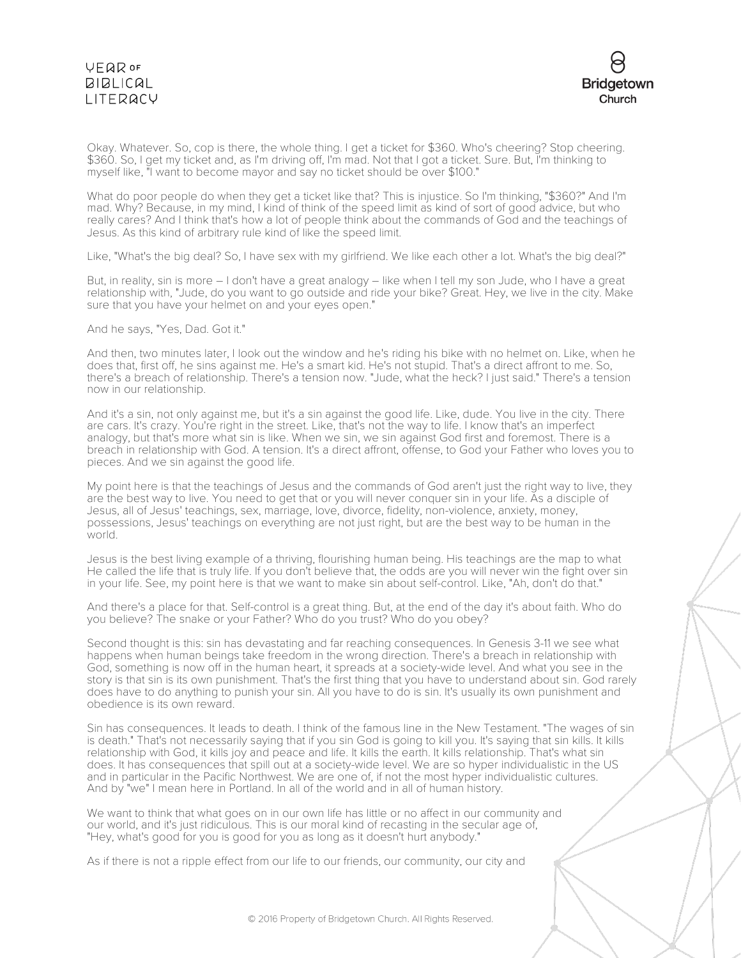# **VEQR OF BIBLICAL** LITERACY



Okay. Whatever. So, cop is there, the whole thing. I get a ticket for \$360. Who's cheering? Stop cheering. \$360. So, I get my ticket and, as I'm driving off, I'm mad. Not that I got a ticket. Sure. But, I'm thinking to myself like, "I want to become mayor and say no ticket should be over \$100."

What do poor people do when they get a ticket like that? This is injustice. So I'm thinking, "\$360?" And I'm mad. Why? Because, in my mind, I kind of think of the speed limit as kind of sort of good advice, but who really cares? And I think that's how a lot of people think about the commands of God and the teachings of Jesus. As this kind of arbitrary rule kind of like the speed limit.

Like, "What's the big deal? So, I have sex with my girlfriend. We like each other a lot. What's the big deal?"

But, in reality, sin is more – I don't have a great analogy – like when I tell my son Jude, who I have a great relationship with, "Jude, do you want to go outside and ride your bike? Great. Hey, we live in the city. Make sure that you have your helmet on and your eyes open."

And he says, "Yes, Dad. Got it."

And then, two minutes later, I look out the window and he's riding his bike with no helmet on. Like, when he does that, first off, he sins against me. He's a smart kid. He's not stupid. That's a direct affront to me. So, there's a breach of relationship. There's a tension now. "Jude, what the heck? I just said." There's a tension now in our relationship.

And it's a sin, not only against me, but it's a sin against the good life. Like, dude. You live in the city. There are cars. It's crazy. You're right in the street. Like, that's not the way to life. I know that's an imperfect analogy, but that's more what sin is like. When we sin, we sin against God first and foremost. There is a breach in relationship with God. A tension. It's a direct affront, offense, to God your Father who loves you to pieces. And we sin against the good life.

My point here is that the teachings of Jesus and the commands of God aren't just the right way to live, they are the best way to live. You need to get that or you will never conquer sin in your life. As a disciple of Jesus, all of Jesus' teachings, sex, marriage, love, divorce, fidelity, non-violence, anxiety, money, possessions, Jesus' teachings on everything are not just right, but are the best way to be human in the world.

Jesus is the best living example of a thriving, flourishing human being. His teachings are the map to what He called the life that is truly life. If you don't believe that, the odds are you will never win the fight over sin in your life. See, my point here is that we want to make sin about self-control. Like, "Ah, don't do that."

And there's a place for that. Self-control is a great thing. But, at the end of the day it's about faith. Who do you believe? The snake or your Father? Who do you trust? Who do you obey?

Second thought is this: sin has devastating and far reaching consequences. In Genesis 3-11 we see what happens when human beings take freedom in the wrong direction. There's a breach in relationship with God, something is now off in the human heart, it spreads at a society-wide level. And what you see in the story is that sin is its own punishment. That's the first thing that you have to understand about sin. God rarely does have to do anything to punish your sin. All you have to do is sin. It's usually its own punishment and obedience is its own reward.

Sin has consequences. It leads to death. I think of the famous line in the New Testament. "The wages of sin is death." That's not necessarily saying that if you sin God is going to kill you. It's saying that sin kills. It kills relationship with God, it kills joy and peace and life. It kills the earth. It kills relationship. That's what sin does. It has consequences that spill out at a society-wide level. We are so hyper individualistic in the US and in particular in the Pacific Northwest. We are one of, if not the most hyper individualistic cultures. And by "we" I mean here in Portland. In all of the world and in all of human history.

We want to think that what goes on in our own life has little or no affect in our community and our world, and it's just ridiculous. This is our moral kind of recasting in the secular age of, "Hey, what's good for you is good for you as long as it doesn't hurt anybody."

As if there is not a ripple effect from our life to our friends, our community, our city and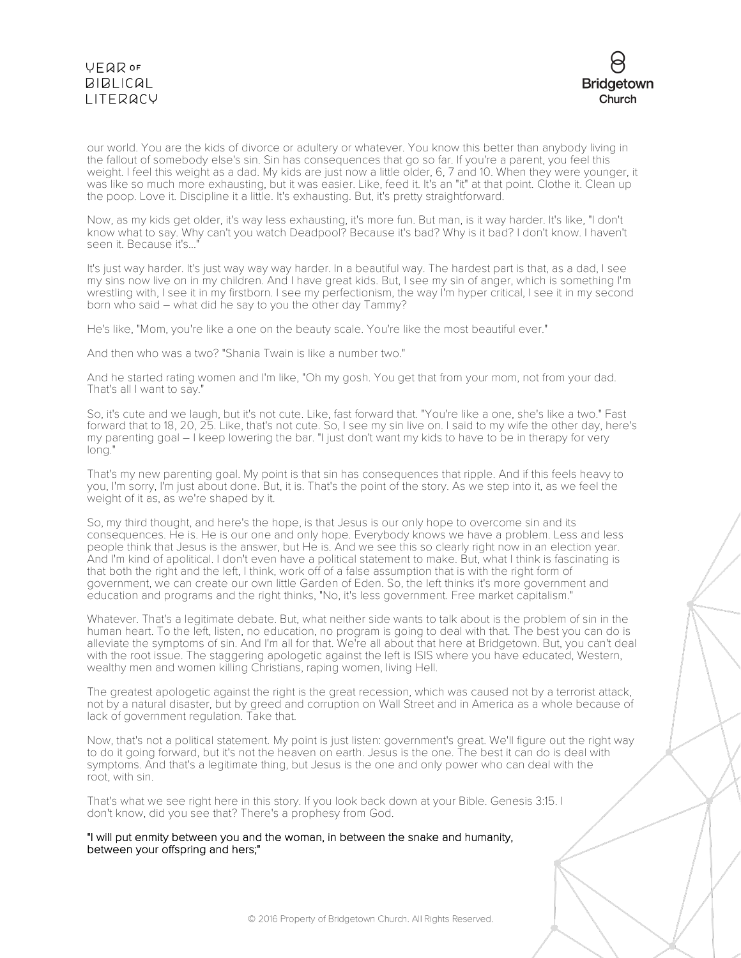# **VFQR OF BIBLICAL** LITERACY



our world. You are the kids of divorce or adultery or whatever. You know this better than anybody living in the fallout of somebody else's sin. Sin has consequences that go so far. If you're a parent, you feel this weight. I feel this weight as a dad. My kids are just now a little older, 6, 7 and 10. When they were younger, it was like so much more exhausting, but it was easier. Like, feed it. It's an "it" at that point. Clothe it. Clean up the poop. Love it. Discipline it a little. It's exhausting. But, it's pretty straightforward.

Now, as my kids get older, it's way less exhausting, it's more fun. But man, is it way harder. It's like, "I don't know what to say. Why can't you watch Deadpool? Because it's bad? Why is it bad? I don't know. I haven't seen it. Because it's...'

It's just way harder. It's just way way way harder. In a beautiful way. The hardest part is that, as a dad, I see my sins now live on in my children. And I have great kids. But, I see my sin of anger, which is something I'm wrestling with, I see it in my firstborn. I see my perfectionism, the way I'm hyper critical, I see it in my second born who said – what did he say to you the other day Tammy?

He's like, "Mom, you're like a one on the beauty scale. You're like the most beautiful ever."

And then who was a two? "Shania Twain is like a number two."

And he started rating women and I'm like, "Oh my gosh. You get that from your mom, not from your dad. That's all I want to say."

So, it's cute and we laugh, but it's not cute. Like, fast forward that. "You're like a one, she's like a two." Fast forward that to 18, 20, 25. Like, that's not cute. So, I see my sin live on. I said to my wife the other day, here's my parenting goal – I keep lowering the bar. "I just don't want my kids to have to be in therapy for very long."

That's my new parenting goal. My point is that sin has consequences that ripple. And if this feels heavy to you, I'm sorry, I'm just about done. But, it is. That's the point of the story. As we step into it, as we feel the weight of it as, as we're shaped by it.

So, my third thought, and here's the hope, is that Jesus is our only hope to overcome sin and its consequences. He is. He is our one and only hope. Everybody knows we have a problem. Less and less people think that Jesus is the answer, but He is. And we see this so clearly right now in an election year. And I'm kind of apolitical. I don't even have a political statement to make. But, what I think is fascinating is that both the right and the left, I think, work off of a false assumption that is with the right form of government, we can create our own little Garden of Eden. So, the left thinks it's more government and education and programs and the right thinks, "No, it's less government. Free market capitalism."

Whatever. That's a legitimate debate. But, what neither side wants to talk about is the problem of sin in the human heart. To the left, listen, no education, no program is going to deal with that. The best you can do is alleviate the symptoms of sin. And I'm all for that. We're all about that here at Bridgetown. But, you can't deal with the root issue. The staggering apologetic against the left is ISIS where you have educated, Western, wealthy men and women killing Christians, raping women, living Hell.

The greatest apologetic against the right is the great recession, which was caused not by a terrorist attack, not by a natural disaster, but by greed and corruption on Wall Street and in America as a whole because of lack of government regulation. Take that.

Now, that's not a political statement. My point is just listen: government's great. We'll figure out the right way to do it going forward, but it's not the heaven on earth. Jesus is the one. The best it can do is deal with symptoms. And that's a legitimate thing, but Jesus is the one and only power who can deal with the root, with sin.

That's what we see right here in this story. If you look back down at your Bible. Genesis 3:15. I don't know, did you see that? There's a prophesy from God.

"I will put enmity between you and the woman, in between the snake and humanity, between your offspring and hers;"